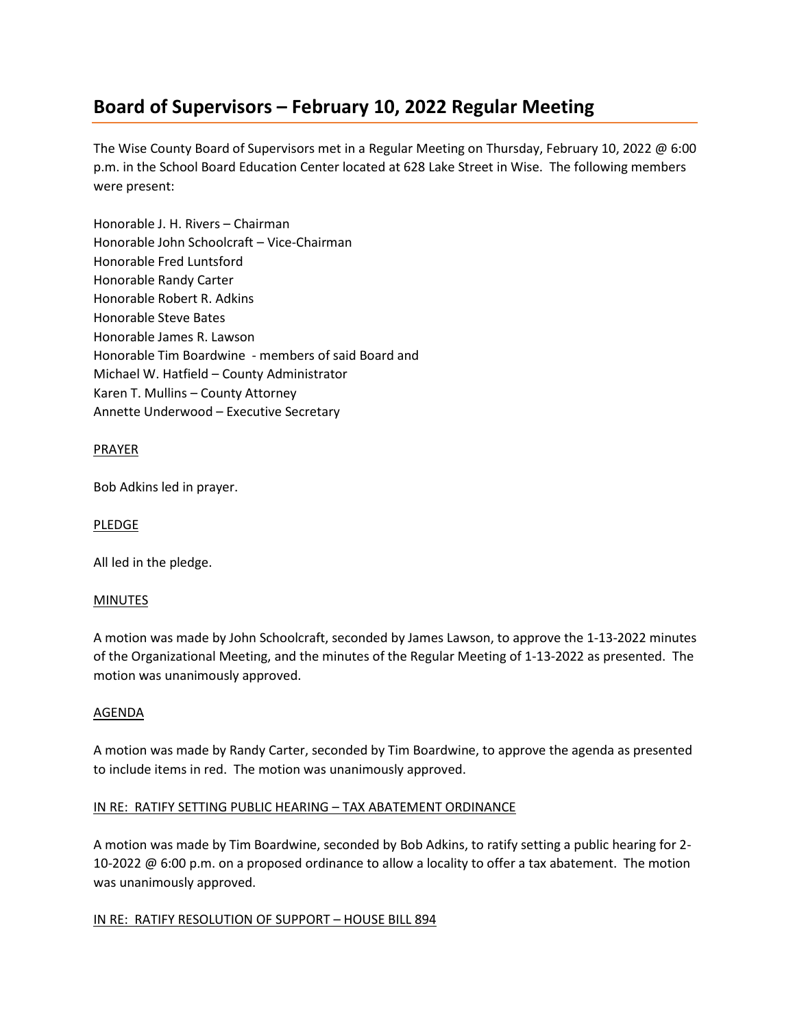# **Board of Supervisors – February 10, 2022 Regular Meeting**

The Wise County Board of Supervisors met in a Regular Meeting on Thursday, February 10, 2022 @ 6:00 p.m. in the School Board Education Center located at 628 Lake Street in Wise. The following members were present:

Honorable J. H. Rivers – Chairman Honorable John Schoolcraft – Vice-Chairman Honorable Fred Luntsford Honorable Randy Carter Honorable Robert R. Adkins Honorable Steve Bates Honorable James R. Lawson Honorable Tim Boardwine - members of said Board and Michael W. Hatfield – County Administrator Karen T. Mullins – County Attorney Annette Underwood – Executive Secretary

# PRAYER

Bob Adkins led in prayer.

## PLEDGE

All led in the pledge.

## MINUTES

A motion was made by John Schoolcraft, seconded by James Lawson, to approve the 1-13-2022 minutes of the Organizational Meeting, and the minutes of the Regular Meeting of 1-13-2022 as presented. The motion was unanimously approved.

## AGENDA

A motion was made by Randy Carter, seconded by Tim Boardwine, to approve the agenda as presented to include items in red. The motion was unanimously approved.

## IN RE: RATIFY SETTING PUBLIC HEARING – TAX ABATEMENT ORDINANCE

A motion was made by Tim Boardwine, seconded by Bob Adkins, to ratify setting a public hearing for 2- 10-2022 @ 6:00 p.m. on a proposed ordinance to allow a locality to offer a tax abatement. The motion was unanimously approved.

## IN RE: RATIFY RESOLUTION OF SUPPORT - HOUSE BILL 894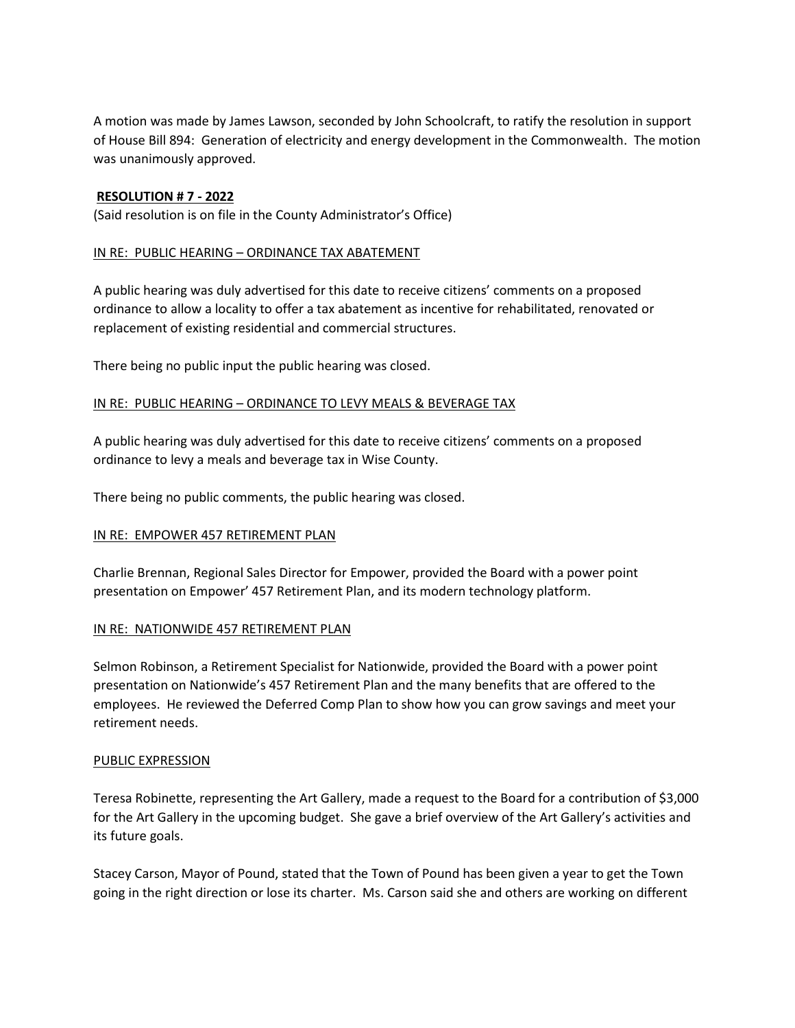A motion was made by James Lawson, seconded by John Schoolcraft, to ratify the resolution in support of House Bill 894: Generation of electricity and energy development in the Commonwealth. The motion was unanimously approved.

## **RESOLUTION # 7 - 2022**

(Said resolution is on file in the County Administrator's Office)

## IN RE: PUBLIC HEARING – ORDINANCE TAX ABATEMENT

A public hearing was duly advertised for this date to receive citizens' comments on a proposed ordinance to allow a locality to offer a tax abatement as incentive for rehabilitated, renovated or replacement of existing residential and commercial structures.

There being no public input the public hearing was closed.

## IN RE: PUBLIC HEARING – ORDINANCE TO LEVY MEALS & BEVERAGE TAX

A public hearing was duly advertised for this date to receive citizens' comments on a proposed ordinance to levy a meals and beverage tax in Wise County.

There being no public comments, the public hearing was closed.

## IN RE: EMPOWER 457 RETIREMENT PLAN

Charlie Brennan, Regional Sales Director for Empower, provided the Board with a power point presentation on Empower' 457 Retirement Plan, and its modern technology platform.

#### IN RE: NATIONWIDE 457 RETIREMENT PLAN

Selmon Robinson, a Retirement Specialist for Nationwide, provided the Board with a power point presentation on Nationwide's 457 Retirement Plan and the many benefits that are offered to the employees. He reviewed the Deferred Comp Plan to show how you can grow savings and meet your retirement needs.

#### PUBLIC EXPRESSION

Teresa Robinette, representing the Art Gallery, made a request to the Board for a contribution of \$3,000 for the Art Gallery in the upcoming budget. She gave a brief overview of the Art Gallery's activities and its future goals.

Stacey Carson, Mayor of Pound, stated that the Town of Pound has been given a year to get the Town going in the right direction or lose its charter. Ms. Carson said she and others are working on different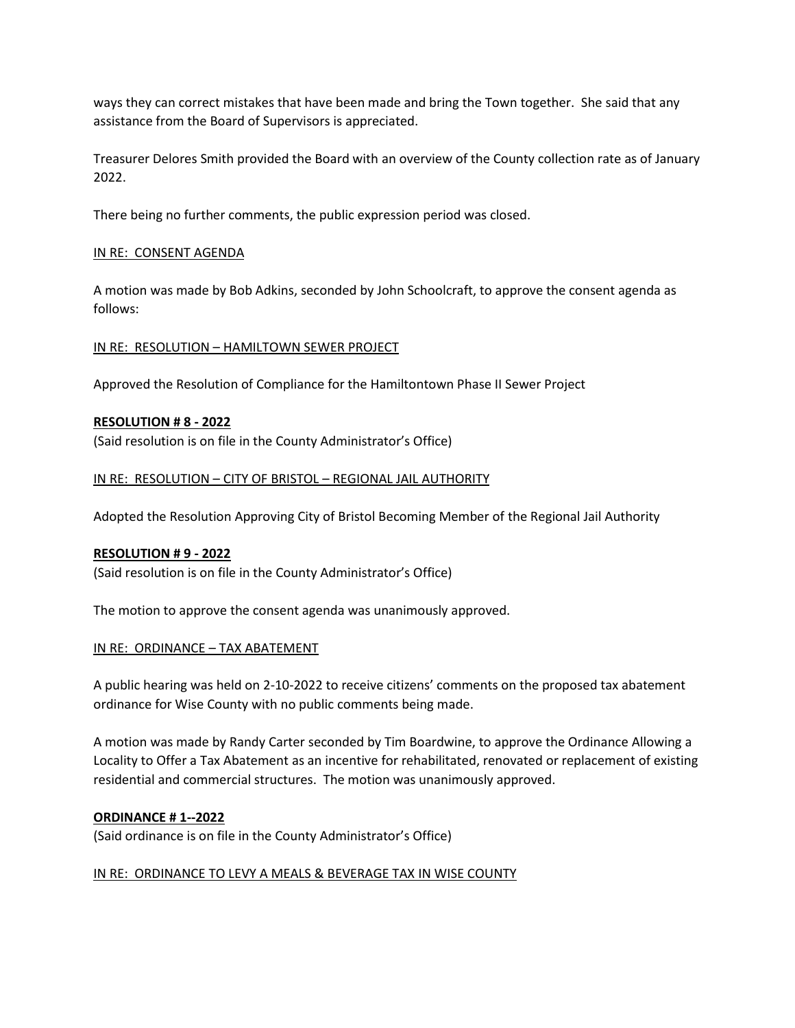ways they can correct mistakes that have been made and bring the Town together. She said that any assistance from the Board of Supervisors is appreciated.

Treasurer Delores Smith provided the Board with an overview of the County collection rate as of January 2022.

There being no further comments, the public expression period was closed.

## IN RE: CONSENT AGENDA

A motion was made by Bob Adkins, seconded by John Schoolcraft, to approve the consent agenda as follows:

## IN RE: RESOLUTION – HAMILTOWN SEWER PROJECT

Approved the Resolution of Compliance for the Hamiltontown Phase II Sewer Project

## **RESOLUTION # 8 - 2022**

(Said resolution is on file in the County Administrator's Office)

## IN RE: RESOLUTION – CITY OF BRISTOL – REGIONAL JAIL AUTHORITY

Adopted the Resolution Approving City of Bristol Becoming Member of the Regional Jail Authority

#### **RESOLUTION # 9 - 2022**

(Said resolution is on file in the County Administrator's Office)

The motion to approve the consent agenda was unanimously approved.

#### IN RE: ORDINANCE – TAX ABATEMENT

A public hearing was held on 2-10-2022 to receive citizens' comments on the proposed tax abatement ordinance for Wise County with no public comments being made.

A motion was made by Randy Carter seconded by Tim Boardwine, to approve the Ordinance Allowing a Locality to Offer a Tax Abatement as an incentive for rehabilitated, renovated or replacement of existing residential and commercial structures. The motion was unanimously approved.

#### **ORDINANCE # 1--2022**

(Said ordinance is on file in the County Administrator's Office)

## IN RE: ORDINANCE TO LEVY A MEALS & BEVERAGE TAX IN WISE COUNTY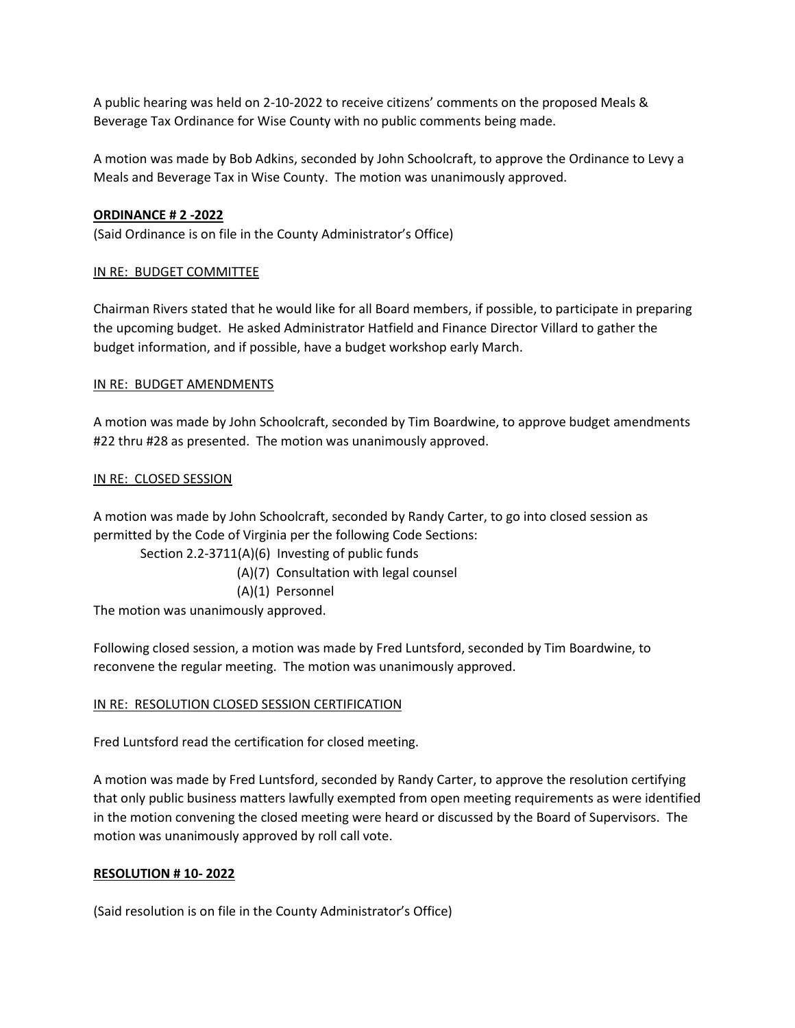A public hearing was held on 2-10-2022 to receive citizens' comments on the proposed Meals & Beverage Tax Ordinance for Wise County with no public comments being made.

A motion was made by Bob Adkins, seconded by John Schoolcraft, to approve the Ordinance to Levy a Meals and Beverage Tax in Wise County. The motion was unanimously approved.

## **ORDINANCE # 2 -2022**

(Said Ordinance is on file in the County Administrator's Office)

## IN RE: BUDGET COMMITTEE

Chairman Rivers stated that he would like for all Board members, if possible, to participate in preparing the upcoming budget. He asked Administrator Hatfield and Finance Director Villard to gather the budget information, and if possible, have a budget workshop early March.

## IN RE: BUDGET AMENDMENTS

A motion was made by John Schoolcraft, seconded by Tim Boardwine, to approve budget amendments #22 thru #28 as presented. The motion was unanimously approved.

## IN RE: CLOSED SESSION

A motion was made by John Schoolcraft, seconded by Randy Carter, to go into closed session as permitted by the Code of Virginia per the following Code Sections:

Section 2.2-3711(A)(6) Investing of public funds

(A)(7) Consultation with legal counsel

(A)(1) Personnel

The motion was unanimously approved.

Following closed session, a motion was made by Fred Luntsford, seconded by Tim Boardwine, to reconvene the regular meeting. The motion was unanimously approved.

## IN RE: RESOLUTION CLOSED SESSION CERTIFICATION

Fred Luntsford read the certification for closed meeting.

A motion was made by Fred Luntsford, seconded by Randy Carter, to approve the resolution certifying that only public business matters lawfully exempted from open meeting requirements as were identified in the motion convening the closed meeting were heard or discussed by the Board of Supervisors. The motion was unanimously approved by roll call vote.

## **RESOLUTION # 10- 2022**

(Said resolution is on file in the County Administrator's Office)